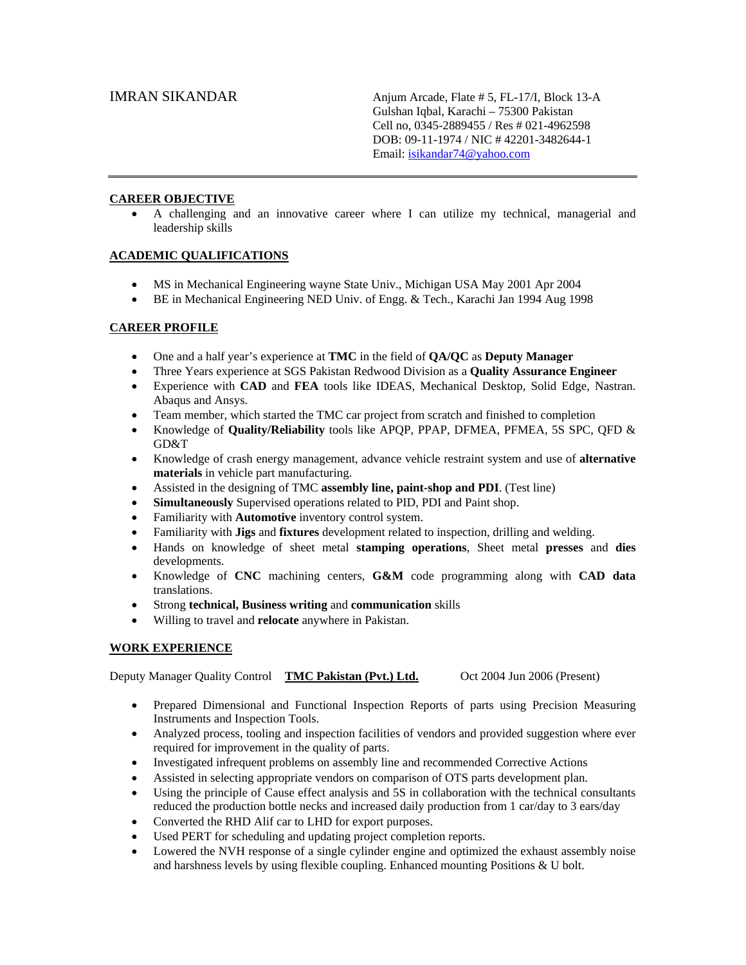IMRAN SIKANDAR Anjum Arcade, Flate # 5, FL-17/I, Block 13-A Gulshan Iqbal, Karachi – 75300 Pakistan Cell no, 0345-2889455 / Res # 021-4962598 DOB: 09-11-1974 / NIC # 42201-3482644-1 Email: isikandar74@yahoo.com

## **CAREER OBJECTIVE**

• A challenging and an innovative career where I can utilize my technical, managerial and leadership skills

## **ACADEMIC QUALIFICATIONS**

- MS in Mechanical Engineering wayne State Univ., Michigan USA May 2001 Apr 2004
- BE in Mechanical Engineering NED Univ. of Engg. & Tech., Karachi Jan 1994 Aug 1998

## **CAREER PROFILE**

- One and a half year's experience at **TMC** in the field of **QA/QC** as **Deputy Manager**
- Three Years experience at SGS Pakistan Redwood Division as a **Quality Assurance Engineer**
- Experience with **CAD** and **FEA** tools like IDEAS, Mechanical Desktop, Solid Edge, Nastran. Abaqus and Ansys.
- Team member, which started the TMC car project from scratch and finished to completion
- Knowledge of **Quality/Reliability** tools like APQP, PPAP, DFMEA, PFMEA, 5S SPC, QFD & GD&T
- Knowledge of crash energy management, advance vehicle restraint system and use of **alternative materials** in vehicle part manufacturing.
- Assisted in the designing of TMC **assembly line, paint-shop and PDI**. (Test line)
- **Simultaneously** Supervised operations related to PID, PDI and Paint shop.
- Familiarity with **Automotive** inventory control system.
- Familiarity with **Jigs** and **fixtures** development related to inspection, drilling and welding.
- Hands on knowledge of sheet metal **stamping operations**, Sheet metal **presses** and **dies**  developments.
- Knowledge of **CNC** machining centers, **G&M** code programming along with **CAD data** translations.
- Strong **technical, Business writing** and **communication** skills
- Willing to travel and **relocate** anywhere in Pakistan.

## **WORK EXPERIENCE**

Deputy Manager Quality Control **TMC Pakistan (Pvt.) Ltd.** Oct 2004 Jun 2006 (Present)

- Prepared Dimensional and Functional Inspection Reports of parts using Precision Measuring Instruments and Inspection Tools.
- Analyzed process, tooling and inspection facilities of vendors and provided suggestion where ever required for improvement in the quality of parts.
- Investigated infrequent problems on assembly line and recommended Corrective Actions
- Assisted in selecting appropriate vendors on comparison of OTS parts development plan.
- Using the principle of Cause effect analysis and 5S in collaboration with the technical consultants reduced the production bottle necks and increased daily production from 1 car/day to 3 ears/day
- Converted the RHD Alif car to LHD for export purposes.
- Used PERT for scheduling and updating project completion reports.
- Lowered the NVH response of a single cylinder engine and optimized the exhaust assembly noise and harshness levels by using flexible coupling. Enhanced mounting Positions & U bolt.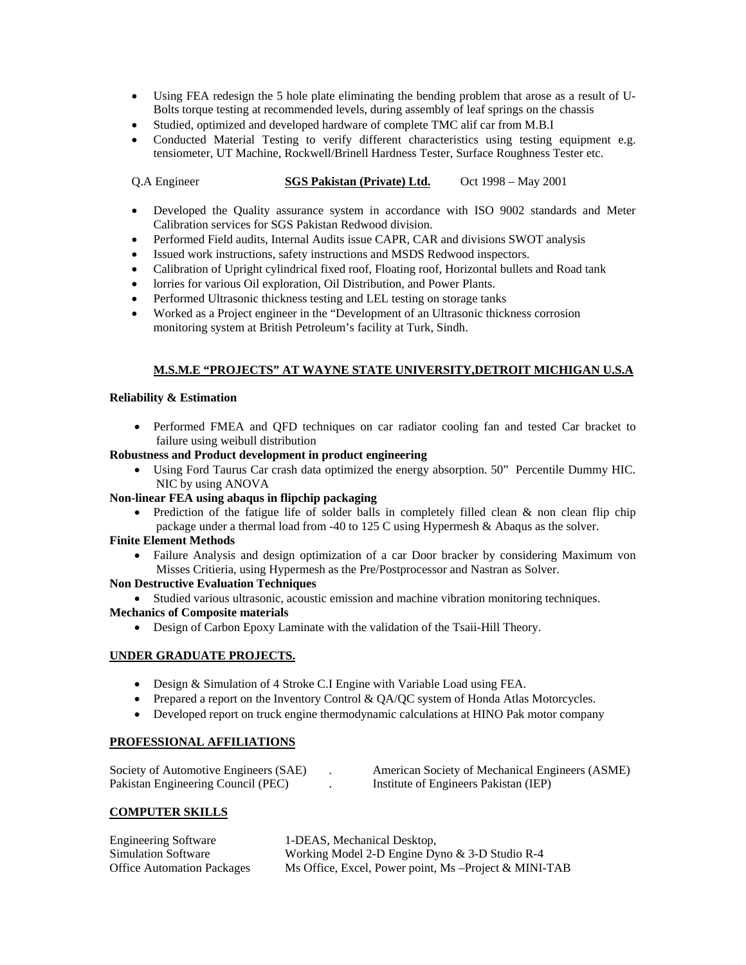- Using FEA redesign the 5 hole plate eliminating the bending problem that arose as a result of U-Bolts torque testing at recommended levels, during assembly of leaf springs on the chassis
- Studied, optimized and developed hardware of complete TMC alif car from M.B.I
- Conducted Material Testing to verify different characteristics using testing equipment e.g. tensiometer, UT Machine, Rockwell/Brinell Hardness Tester, Surface Roughness Tester etc.

## Q.A Engineer **SGS Pakistan (Private) Ltd.** Oct 1998 – May 2001

- Developed the Quality assurance system in accordance with ISO 9002 standards and Meter Calibration services for SGS Pakistan Redwood division.
- Performed Field audits, Internal Audits issue CAPR, CAR and divisions SWOT analysis
- Issued work instructions, safety instructions and MSDS Redwood inspectors.
- Calibration of Upright cylindrical fixed roof, Floating roof, Horizontal bullets and Road tank
- lorries for various Oil exploration, Oil Distribution, and Power Plants.
- Performed Ultrasonic thickness testing and LEL testing on storage tanks
- Worked as a Project engineer in the "Development of an Ultrasonic thickness corrosion monitoring system at British Petroleum's facility at Turk, Sindh.

#### **M.S.M.E "PROJECTS" AT WAYNE STATE UNIVERSITY,DETROIT MICHIGAN U.S.A**

#### **Reliability & Estimation**

• Performed FMEA and QFD techniques on car radiator cooling fan and tested Car bracket to failure using weibull distribution

### **Robustness and Product development in product engineering**

• Using Ford Taurus Car crash data optimized the energy absorption. 50" Percentile Dummy HIC. NIC by using ANOVA

## **Non-linear FEA using abaqus in flipchip packaging**

• Prediction of the fatigue life of solder balls in completely filled clean & non clean flip chip package under a thermal load from -40 to 125 C using Hypermesh & Abaqus as the solver.

#### **Finite Element Methods**

• Failure Analysis and design optimization of a car Door bracker by considering Maximum von Misses Critieria, using Hypermesh as the Pre/Postprocessor and Nastran as Solver.

#### **Non Destructive Evaluation Techniques**

• Studied various ultrasonic, acoustic emission and machine vibration monitoring techniques.

# **Mechanics of Composite materials**

• Design of Carbon Epoxy Laminate with the validation of the Tsaii-Hill Theory.

#### **UNDER GRADUATE PROJECTS.**

- Design & Simulation of 4 Stroke C.I Engine with Variable Load using FEA.
- Prepared a report on the Inventory Control & OA/OC system of Honda Atlas Motorcycles.
- Developed report on truck engine thermodynamic calculations at HINO Pak motor company

### **PROFESSIONAL AFFILIATIONS**

| Society of Automotive Engineers (SAE) | American Society of Mechanical Engineers (ASME) |
|---------------------------------------|-------------------------------------------------|
| Pakistan Engineering Council (PEC)    | Institute of Engineers Pakistan (IEP)           |

#### **COMPUTER SKILLS**

| <b>Engineering Software</b>       | 1-DEAS, Mechanical Desktop,                           |
|-----------------------------------|-------------------------------------------------------|
| Simulation Software               | Working Model 2-D Engine Dyno & 3-D Studio R-4        |
| <b>Office Automation Packages</b> | Ms Office, Excel, Power point, Ms -Project & MINI-TAB |